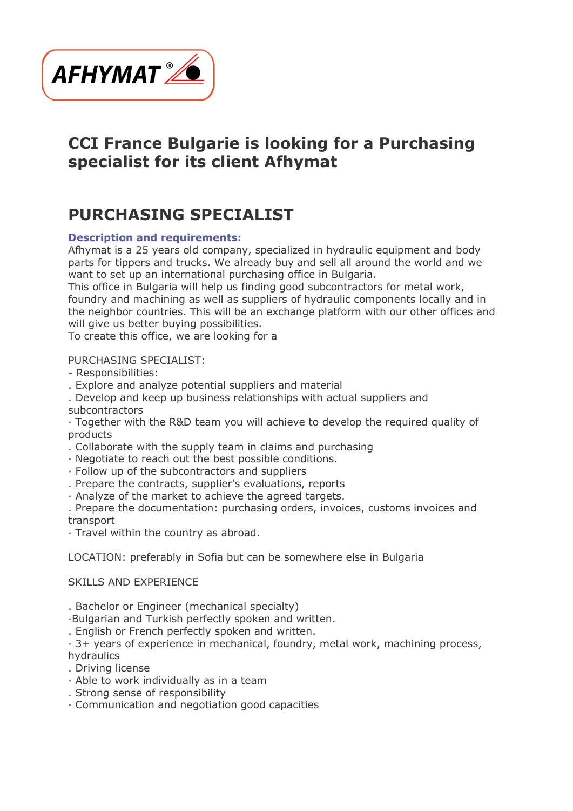

## **CCI France Bulgarie is looking for a Purchasing specialist for its client Afhymat**

# **PURCHASING SPECIALIST**

## **Description and requirements:**

Afhymat is a 25 years old company, specialized in hydraulic equipment and body parts for tippers and trucks. We already buy and sell all around the world and we want to set up an international purchasing office in Bulgaria.

This office in Bulgaria will help us finding good subcontractors for metal work, foundry and machining as well as suppliers of hydraulic components locally and in the neighbor countries. This will be an exchange platform with our other offices and will give us better buving possibilities.

To create this office, we are looking for a

#### PURCHASING SPECIALIST:

- Responsibilities:
- . Explore and analyze potential suppliers and material
- . Develop and keep up business relationships with actual suppliers and subcontractors
- · Together with the R&D team you will achieve to develop the required quality of products
- . Collaborate with the supply team in claims and purchasing
- · Negotiate to reach out the best possible conditions.
- · Follow up of the subcontractors and suppliers
- . Prepare the contracts, supplier's evaluations, reports
- · Analyze of the market to achieve the agreed targets.

. Prepare the documentation: purchasing orders, invoices, customs invoices and transport

· Travel within the country as abroad.

LOCATION: preferably in Sofia but can be somewhere else in Bulgaria

### SKILLS AND EXPERIENCE

. Bachelor or Engineer (mechanical specialty)

·Bulgarian and Turkish perfectly spoken and written.

. English or French perfectly spoken and written.

· 3+ years of experience in mechanical, foundry, metal work, machining process, hydraulics

- . Driving license
- · Able to work individually as in a team
- . Strong sense of responsibility
- · Communication and negotiation good capacities